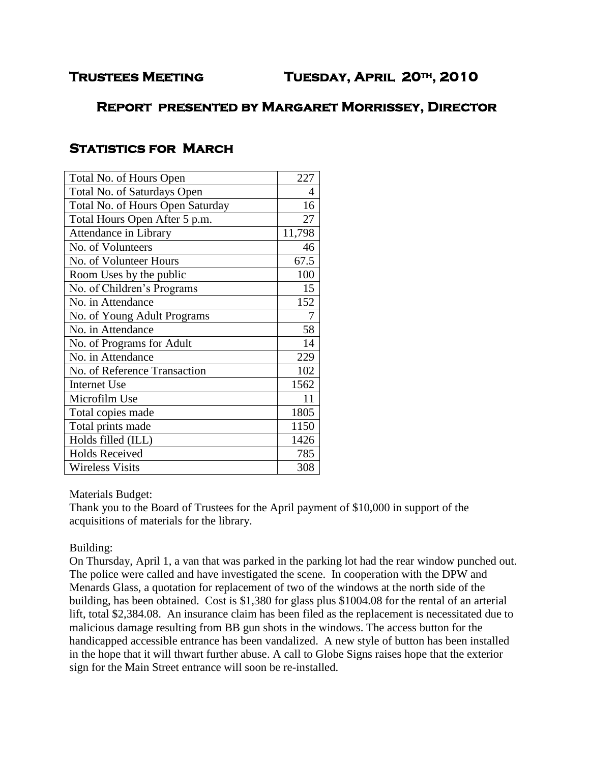# **Report presented by Margaret Morrissey, Director**

# **Statistics for March**

| Total No. of Hours Open          | 227    |
|----------------------------------|--------|
| Total No. of Saturdays Open      | 4      |
| Total No. of Hours Open Saturday | 16     |
| Total Hours Open After 5 p.m.    | 27     |
| Attendance in Library            | 11,798 |
| No. of Volunteers                | 46     |
| No. of Volunteer Hours           | 67.5   |
| Room Uses by the public          | 100    |
| No. of Children's Programs       | 15     |
| No. in Attendance                | 152    |
| No. of Young Adult Programs      | 7      |
| No. in Attendance                | 58     |
| No. of Programs for Adult        | 14     |
| No. in Attendance                | 229    |
| No. of Reference Transaction     | 102    |
| <b>Internet Use</b>              | 1562   |
| Microfilm Use                    | 11     |
| Total copies made                | 1805   |
| Total prints made                | 1150   |
| Holds filled (ILL)               | 1426   |
| <b>Holds Received</b>            | 785    |
| <b>Wireless Visits</b>           | 308    |

Materials Budget:

Thank you to the Board of Trustees for the April payment of \$10,000 in support of the acquisitions of materials for the library.

## Building:

On Thursday, April 1, a van that was parked in the parking lot had the rear window punched out. The police were called and have investigated the scene. In cooperation with the DPW and Menards Glass, a quotation for replacement of two of the windows at the north side of the building, has been obtained. Cost is \$1,380 for glass plus \$1004.08 for the rental of an arterial lift, total \$2,384.08. An insurance claim has been filed as the replacement is necessitated due to malicious damage resulting from BB gun shots in the windows. The access button for the handicapped accessible entrance has been vandalized. A new style of button has been installed in the hope that it will thwart further abuse. A call to Globe Signs raises hope that the exterior sign for the Main Street entrance will soon be re-installed.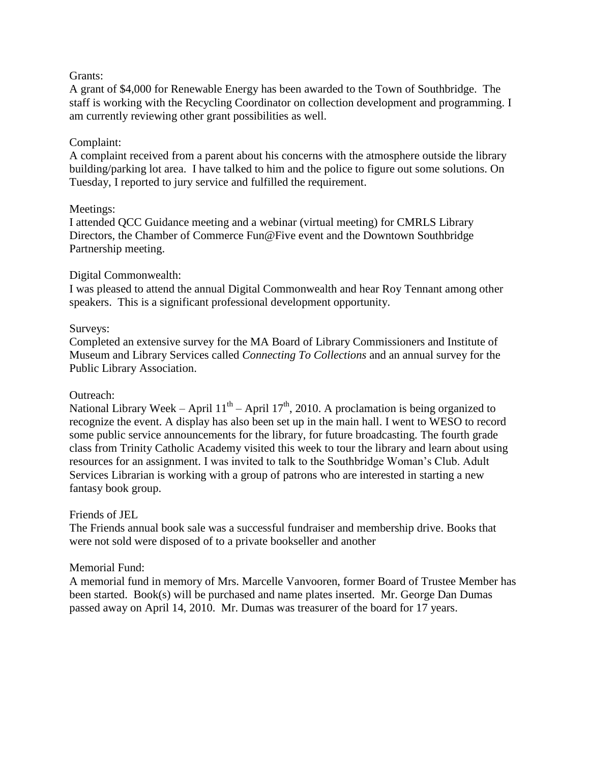#### Grants:

A grant of \$4,000 for Renewable Energy has been awarded to the Town of Southbridge. The staff is working with the Recycling Coordinator on collection development and programming. I am currently reviewing other grant possibilities as well.

## Complaint:

A complaint received from a parent about his concerns with the atmosphere outside the library building/parking lot area. I have talked to him and the police to figure out some solutions. On Tuesday, I reported to jury service and fulfilled the requirement.

## Meetings:

I attended QCC Guidance meeting and a webinar (virtual meeting) for CMRLS Library Directors, the Chamber of Commerce Fun@Five event and the Downtown Southbridge Partnership meeting.

## Digital Commonwealth:

I was pleased to attend the annual Digital Commonwealth and hear Roy Tennant among other speakers. This is a significant professional development opportunity.

## Surveys:

Completed an extensive survey for the MA Board of Library Commissioners and Institute of Museum and Library Services called *Connecting To Collections* and an annual survey for the Public Library Association.

#### Outreach:

National Library Week – April  $11^{th}$  – April  $17^{th}$ , 2010. A proclamation is being organized to recognize the event. A display has also been set up in the main hall. I went to WESO to record some public service announcements for the library, for future broadcasting. The fourth grade class from Trinity Catholic Academy visited this week to tour the library and learn about using resources for an assignment. I was invited to talk to the Southbridge Woman's Club. Adult Services Librarian is working with a group of patrons who are interested in starting a new fantasy book group.

#### Friends of JEL

The Friends annual book sale was a successful fundraiser and membership drive. Books that were not sold were disposed of to a private bookseller and another

## Memorial Fund:

A memorial fund in memory of Mrs. Marcelle Vanvooren, former Board of Trustee Member has been started. Book(s) will be purchased and name plates inserted. Mr. George Dan Dumas passed away on April 14, 2010. Mr. Dumas was treasurer of the board for 17 years.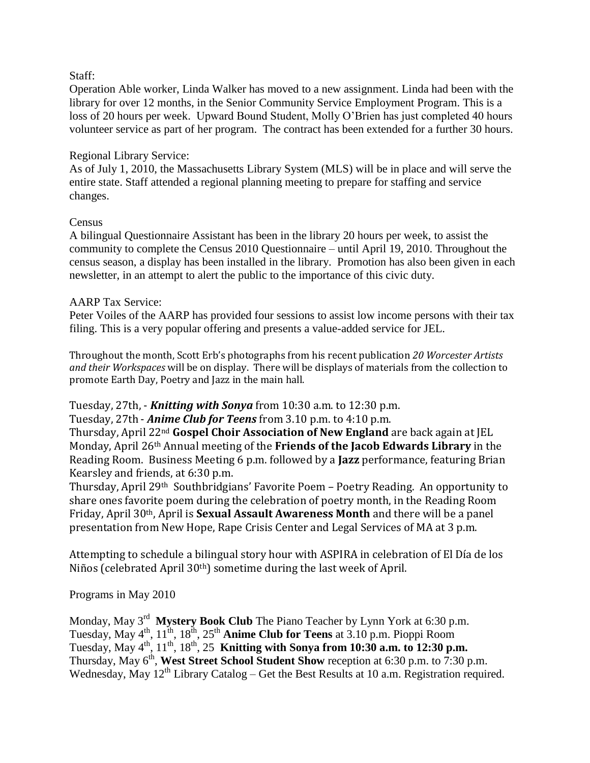#### Staff:

Operation Able worker, Linda Walker has moved to a new assignment. Linda had been with the library for over 12 months, in the Senior Community Service Employment Program. This is a loss of 20 hours per week. Upward Bound Student, Molly O'Brien has just completed 40 hours volunteer service as part of her program. The contract has been extended for a further 30 hours.

#### Regional Library Service:

As of July 1, 2010, the Massachusetts Library System (MLS) will be in place and will serve the entire state. Staff attended a regional planning meeting to prepare for staffing and service changes.

## Census

A bilingual Questionnaire Assistant has been in the library 20 hours per week, to assist the community to complete the Census 2010 Questionnaire – until April 19, 2010. Throughout the census season, a display has been installed in the library. Promotion has also been given in each newsletter, in an attempt to alert the public to the importance of this civic duty.

## AARP Tax Service:

Peter Voiles of the AARP has provided four sessions to assist low income persons with their tax filing. This is a very popular offering and presents a value-added service for JEL.

Throughout the month, Scott Erb's photographs from his recent publication *20 Worcester Artists and their Workspaces* will be on display. There will be displays of materials from the collection to promote Earth Day, Poetry and Jazz in the main hall.

#### Tuesday, 27th, - *Knitting with Sonya* from 10:30 a.m. to 12:30 p.m.

Tuesday, 27th - *Anime Club for Teens* from 3.10 p.m. to 4:10 p.m.

Thursday, April 22nd **Gospel Choir Association of New England** are back again at JEL Monday, April 26th Annual meeting of the **Friends of the Jacob Edwards Library** in the Reading Room. Business Meeting 6 p.m. followed by a **Jazz** performance, featuring Brian Kearsley and friends, at 6:30 p.m.

Thursday, April 29th Southbridgians' Favorite Poem – Poetry Reading. An opportunity to share ones favorite poem during the celebration of poetry month, in the Reading Room Friday, April 30th, April is **Sexual Assault Awareness Month** and there will be a panel presentation from New Hope, Rape Crisis Center and Legal Services of MA at 3 p.m.

Attempting to schedule a bilingual story hour with ASPIRA in celebration of El Día de los Niños (celebrated April 30th) sometime during the last week of April.

Programs in May 2010

Monday, May 3<sup>rd</sup> Mystery Book Club The Piano Teacher by Lynn York at 6:30 p.m. Tuesday, May 4th, 11th, 18th, 25th **Anime Club for Teens** at 3.10 p.m. Pioppi Room Tuesday, May  $4^{th}$ ,  $11^{th}$ ,  $18^{th}$ ,  $25^{th}$  **Knitting with Sonya from 10:30 a.m. to 12:30 p.m.** Thursday, May 6<sup>th</sup>, West Street School Student Show reception at 6:30 p.m. to 7:30 p.m. Wednesday, May  $12^{th}$  Library Catalog – Get the Best Results at 10 a.m. Registration required.